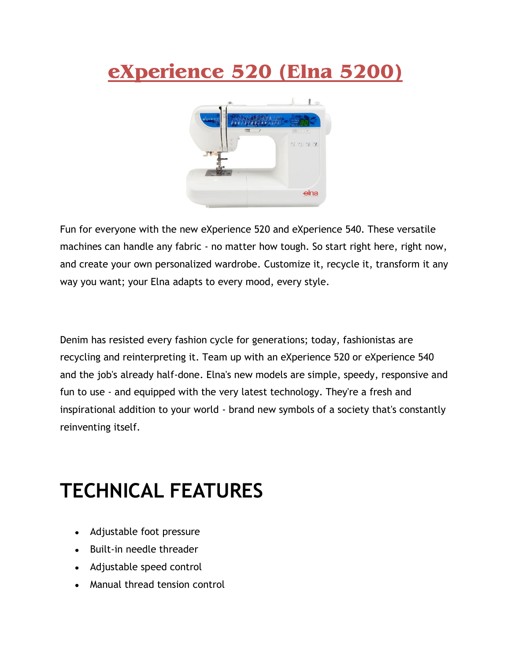## **eXperience 520 (Elna 5200)**



Fun for everyone with the new eXperience 520 and eXperience 540. These versatile machines can handle any fabric - no matter how tough. So start right here, right now, and create your own personalized wardrobe. Customize it, recycle it, transform it any way you want; your Elna adapts to every mood, every style.

Denim has resisted every fashion cycle for generations; today, fashionistas are recycling and reinterpreting it. Team up with an eXperience 520 or eXperience 540 and the job's already half-done. Elna's new models are simple, speedy, responsive and fun to use - and equipped with the very latest technology. They're a fresh and inspirational addition to your world - brand new symbols of a society that's constantly reinventing itself.

## **TECHNICAL FEATURES**

- Adjustable foot pressure
- Built-in needle threader
- Adjustable speed control
- Manual thread tension control